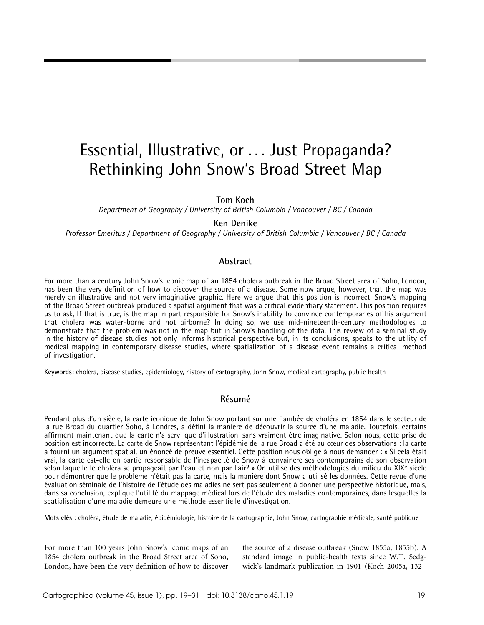# Essential, Illustrative, or . . . Just Propaganda? Rethinking John Snow's Broad Street Map

Tom Koch

Department of Geography / University of British Columbia / Vancouver / BC / Canada

# Ken Denike

Professor Emeritus / Department of Geography / University of British Columbia / Vancouver / BC / Canada

#### Abstract

For more than a century John Snow's iconic map of an 1854 cholera outbreak in the Broad Street area of Soho, London, has been the very definition of how to discover the source of a disease. Some now argue, however, that the map was merely an illustrative and not very imaginative graphic. Here we argue that this position is incorrect. Snow's mapping of the Broad Street outbreak produced a spatial argument that was a critical evidentiary statement. This position requires us to ask, If that is true, is the map in part responsible for Snow's inability to convince contemporaries of his argument that cholera was water-borne and not airborne? In doing so, we use mid-nineteenth-century methodologies to demonstrate that the problem was not in the map but in Snow's handling of the data. This review of a seminal study in the history of disease studies not only informs historical perspective but, in its conclusions, speaks to the utility of medical mapping in contemporary disease studies, where spatialization of a disease event remains a critical method of investigation.

Keywords: cholera, disease studies, epidemiology, history of cartography, John Snow, medical cartography, public health

# **Résumé**

Pendant plus d'un siècle, la carte iconique de John Snow portant sur une flambée de choléra en 1854 dans le secteur de la rue Broad du quartier Soho, à Londres, a défini la manière de découvrir la source d'une maladie. Toutefois, certains affirment maintenant que la carte n'a servi que d'illustration, sans vraiment être imaginative. Selon nous, cette prise de position est incorrecte. La carte de Snow représentant l'épidémie de la rue Broad a été au cœur des observations : la carte a fourni un argument spatial, un énoncé de preuve essentiel. Cette position nous oblige à nous demander : « Si cela était vrai, la carte est-elle en partie responsable de l'incapacité de Snow à convaincre ses contemporains de son observation selon laquelle le choléra se propageait par l'eau et non par l'air? » On utilise des méthodologies du milieu du XIX<sup>e</sup> siècle pour démontrer que le problème n'était pas la carte, mais la manière dont Snow a utilisé les données. Cette revue d'une évaluation séminale de l'histoire de l'étude des maladies ne sert pas seulement à donner une perspective historique, mais, dans sa conclusion, explique l'utilité du mappage médical lors de l'étude des maladies contemporaines, dans lesquelles la spatialisation d'une maladie demeure une méthode essentielle d'investigation.

Mots clés : choléra, étude de maladie, épidémiologie, histoire de la cartographie, John Snow, cartographie médicale, santé publique

For more than 100 years John Snow's iconic maps of an 1854 cholera outbreak in the Broad Street area of Soho, London, have been the very definition of how to discover the source of a disease outbreak (Snow 1855a, 1855b). A standard image in public-health texts since W.T. Sedgwick's landmark publication in 1901 (Koch 2005a, 132–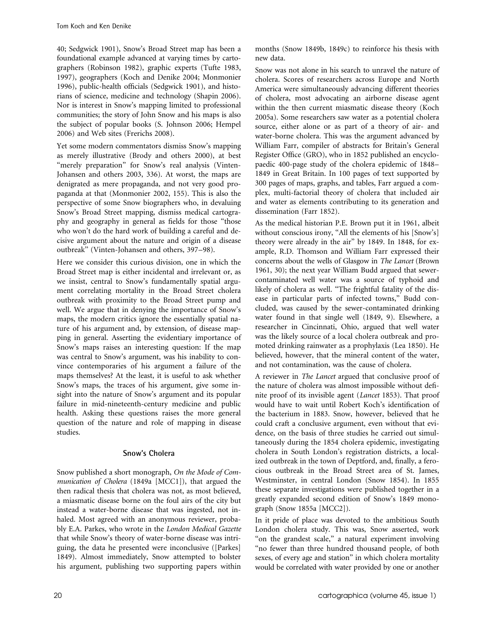40; Sedgwick 1901), Snow's Broad Street map has been a foundational example advanced at varying times by cartographers (Robinson 1982), graphic experts (Tufte 1983, 1997), geographers (Koch and Denike 2004; Monmonier 1996), public-health officials (Sedgwick 1901), and historians of science, medicine and technology (Shapin 2006). Nor is interest in Snow's mapping limited to professional communities; the story of John Snow and his maps is also the subject of popular books (S. Johnson 2006; Hempel 2006) and Web sites (Frerichs 2008).

Yet some modern commentators dismiss Snow's mapping as merely illustrative (Brody and others 2000), at best "merely preparation" for Snow's real analysis (Vinten-Johansen and others 2003, 336). At worst, the maps are denigrated as mere propaganda, and not very good propaganda at that (Monmonier 2002, 155). This is also the perspective of some Snow biographers who, in devaluing Snow's Broad Street mapping, dismiss medical cartography and geography in general as fields for those ''those who won't do the hard work of building a careful and decisive argument about the nature and origin of a disease outbreak'' (Vinten-Johansen and others, 397–98).

Here we consider this curious division, one in which the Broad Street map is either incidental and irrelevant or, as we insist, central to Snow's fundamentally spatial argument correlating mortality in the Broad Street cholera outbreak with proximity to the Broad Street pump and well. We argue that in denying the importance of Snow's maps, the modern critics ignore the essentially spatial nature of his argument and, by extension, of disease mapping in general. Asserting the evidentiary importance of Snow's maps raises an interesting question: If the map was central to Snow's argument, was his inability to convince contemporaries of his argument a failure of the maps themselves? At the least, it is useful to ask whether Snow's maps, the traces of his argument, give some insight into the nature of Snow's argument and its popular failure in mid-nineteenth-century medicine and public health. Asking these questions raises the more general question of the nature and role of mapping in disease studies.

# Snow's Cholera

Snow published a short monograph, On the Mode of Communication of Cholera (1849a [MCC1]), that argued the then radical thesis that cholera was not, as most believed, a miasmatic disease borne on the foul airs of the city but instead a water-borne disease that was ingested, not inhaled. Most agreed with an anonymous reviewer, probably E.A. Parkes, who wrote in the London Medical Gazette that while Snow's theory of water-borne disease was intriguing, the data he presented were inconclusive ([Parkes] 1849). Almost immediately, Snow attempted to bolster his argument, publishing two supporting papers within months (Snow 1849b, 1849c) to reinforce his thesis with new data.

Snow was not alone in his search to unravel the nature of cholera. Scores of researchers across Europe and North America were simultaneously advancing different theories of cholera, most advocating an airborne disease agent within the then current miasmatic disease theory (Koch 2005a). Some researchers saw water as a potential cholera source, either alone or as part of a theory of air- and water-borne cholera. This was the argument advanced by William Farr, compiler of abstracts for Britain's General Register Office (GRO), who in 1852 published an encyclopaedic 400-page study of the cholera epidemic of 1848– 1849 in Great Britain. In 100 pages of text supported by 300 pages of maps, graphs, and tables, Farr argued a complex, multi-factorial theory of cholera that included air and water as elements contributing to its generation and dissemination (Farr 1852).

As the medical historian P.E. Brown put it in 1961, albeit without conscious irony, "All the elements of his [Snow's] theory were already in the air'' by 1849. In 1848, for example, R.D. Thomson and William Farr expressed their concerns about the wells of Glasgow in The Lancet (Brown 1961, 30); the next year William Budd argued that sewercontaminated well water was a source of typhoid and likely of cholera as well. "The frightful fatality of the disease in particular parts of infected towns,'' Budd concluded, was caused by the sewer-contaminated drinking water found in that single well (1849, 9). Elsewhere, a researcher in Cincinnati, Ohio, argued that well water was the likely source of a local cholera outbreak and promoted drinking rainwater as a prophylaxis (Lea 1850). He believed, however, that the mineral content of the water, and not contamination, was the cause of cholera.

A reviewer in The Lancet argued that conclusive proof of the nature of cholera was almost impossible without definite proof of its invisible agent (Lancet 1853). That proof would have to wait until Robert Koch's identification of the bacterium in 1883. Snow, however, believed that he could craft a conclusive argument, even without that evidence, on the basis of three studies he carried out simultaneously during the 1854 cholera epidemic, investigating cholera in South London's registration districts, a localized outbreak in the town of Deptford, and, finally, a ferocious outbreak in the Broad Street area of St. James, Westminster, in central London (Snow 1854). In 1855 these separate investigations were published together in a greatly expanded second edition of Snow's 1849 monograph (Snow 1855a [MCC2]).

In it pride of place was devoted to the ambitious South London cholera study. This was, Snow asserted, work "on the grandest scale," a natural experiment involving "no fewer than three hundred thousand people, of both sexes, of every age and station'' in which cholera mortality would be correlated with water provided by one or another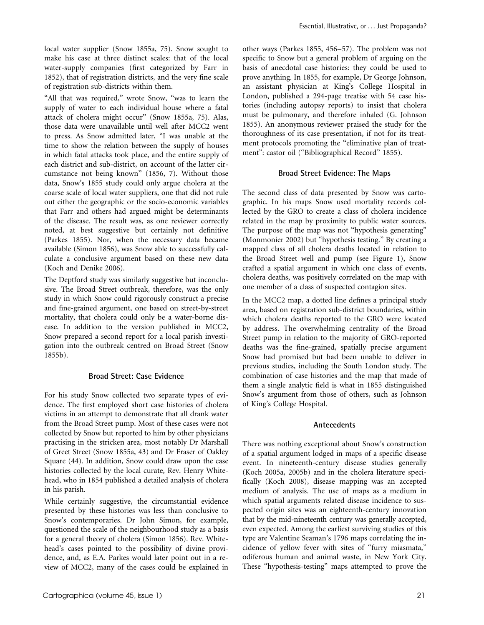local water supplier (Snow 1855a, 75). Snow sought to make his case at three distinct scales: that of the local water-supply companies (first categorized by Farr in 1852), that of registration districts, and the very fine scale of registration sub-districts within them.

"All that was required," wrote Snow, "was to learn the supply of water to each individual house where a fatal attack of cholera might occur'' (Snow 1855a, 75). Alas, those data were unavailable until well after MCC2 went to press. As Snow admitted later, ''I was unable at the time to show the relation between the supply of houses in which fatal attacks took place, and the entire supply of each district and sub-district, on account of the latter circumstance not being known'' (1856, 7). Without those data, Snow's 1855 study could only argue cholera at the coarse scale of local water suppliers, one that did not rule out either the geographic or the socio-economic variables that Farr and others had argued might be determinants of the disease. The result was, as one reviewer correctly noted, at best suggestive but certainly not definitive (Parkes 1855). Nor, when the necessary data became available (Simon 1856), was Snow able to successfully calculate a conclusive argument based on these new data (Koch and Denike 2006).

The Deptford study was similarly suggestive but inconclusive. The Broad Street outbreak, therefore, was the only study in which Snow could rigorously construct a precise and fine-grained argument, one based on street-by-street mortality, that cholera could only be a water-borne disease. In addition to the version published in MCC2, Snow prepared a second report for a local parish investigation into the outbreak centred on Broad Street (Snow 1855b).

# Broad Street: Case Evidence

For his study Snow collected two separate types of evidence. The first employed short case histories of cholera victims in an attempt to demonstrate that all drank water from the Broad Street pump. Most of these cases were not collected by Snow but reported to him by other physicians practising in the stricken area, most notably Dr Marshall of Greet Street (Snow 1855a, 43) and Dr Fraser of Oakley Square (44). In addition, Snow could draw upon the case histories collected by the local curate, Rev. Henry Whitehead, who in 1854 published a detailed analysis of cholera in his parish.

While certainly suggestive, the circumstantial evidence presented by these histories was less than conclusive to Snow's contemporaries. Dr John Simon, for example, questioned the scale of the neighbourhood study as a basis for a general theory of cholera (Simon 1856). Rev. Whitehead's cases pointed to the possibility of divine providence, and, as E.A. Parkes would later point out in a review of MCC2, many of the cases could be explained in other ways (Parkes 1855, 456–57). The problem was not specific to Snow but a general problem of arguing on the basis of anecdotal case histories: they could be used to prove anything. In 1855, for example, Dr George Johnson, an assistant physician at King's College Hospital in London, published a 294-page treatise with 54 case histories (including autopsy reports) to insist that cholera must be pulmonary, and therefore inhaled (G. Johnson 1855). An anonymous reviewer praised the study for the thoroughness of its case presentation, if not for its treatment protocols promoting the ''eliminative plan of treatment": castor oil ("Bibliographical Record" 1855).

#### Broad Street Evidence: The Maps

The second class of data presented by Snow was cartographic. In his maps Snow used mortality records collected by the GRO to create a class of cholera incidence related in the map by proximity to public water sources. The purpose of the map was not ''hypothesis generating'' (Monmonier 2002) but ''hypothesis testing.'' By creating a mapped class of all cholera deaths located in relation to the Broad Street well and pump (see Figure 1), Snow crafted a spatial argument in which one class of events, cholera deaths, was positively correlated on the map with one member of a class of suspected contagion sites.

In the MCC2 map, a dotted line defines a principal study area, based on registration sub-district boundaries, within which cholera deaths reported to the GRO were located by address. The overwhelming centrality of the Broad Street pump in relation to the majority of GRO-reported deaths was the fine-grained, spatially precise argument Snow had promised but had been unable to deliver in previous studies, including the South London study. The combination of case histories and the map that made of them a single analytic field is what in 1855 distinguished Snow's argument from those of others, such as Johnson of King's College Hospital.

#### Antecedents

There was nothing exceptional about Snow's construction of a spatial argument lodged in maps of a specific disease event. In nineteenth-century disease studies generally (Koch 2005a, 2005b) and in the cholera literature specifically (Koch 2008), disease mapping was an accepted medium of analysis. The use of maps as a medium in which spatial arguments related disease incidence to suspected origin sites was an eighteenth-century innovation that by the mid-nineteenth century was generally accepted, even expected. Among the earliest surviving studies of this type are Valentine Seaman's 1796 maps correlating the incidence of yellow fever with sites of ''furry miasmata,'' odiferous human and animal waste, in New York City. These ''hypothesis-testing'' maps attempted to prove the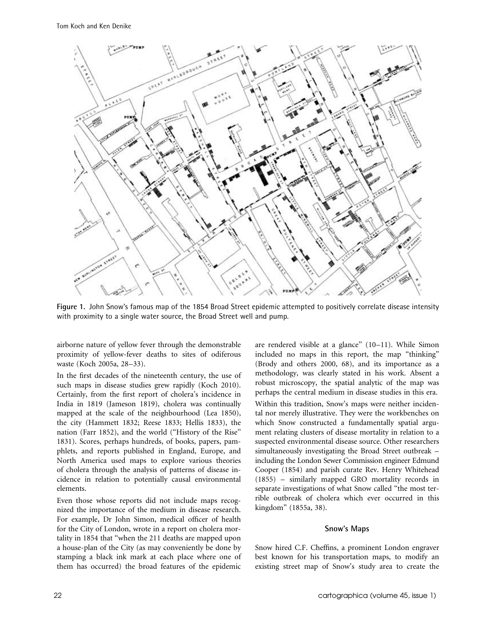

Figure 1. John Snow's famous map of the 1854 Broad Street epidemic attempted to positively correlate disease intensity with proximity to a single water source, the Broad Street well and pump.

airborne nature of yellow fever through the demonstrable proximity of yellow-fever deaths to sites of odiferous waste (Koch 2005a, 28–33).

In the first decades of the nineteenth century, the use of such maps in disease studies grew rapidly (Koch 2010). Certainly, from the first report of cholera's incidence in India in 1819 (Jameson 1819), cholera was continually mapped at the scale of the neighbourhood (Lea 1850), the city (Hammett 1832; Reese 1833; Hellis 1833), the nation (Farr 1852), and the world ("History of the Rise" 1831). Scores, perhaps hundreds, of books, papers, pamphlets, and reports published in England, Europe, and North America used maps to explore various theories of cholera through the analysis of patterns of disease incidence in relation to potentially causal environmental elements.

Even those whose reports did not include maps recognized the importance of the medium in disease research. For example, Dr John Simon, medical officer of health for the City of London, wrote in a report on cholera mortality in 1854 that ''when the 211 deaths are mapped upon a house-plan of the City (as may conveniently be done by stamping a black ink mark at each place where one of them has occurred) the broad features of the epidemic are rendered visible at a glance'' (10–11). While Simon included no maps in this report, the map ''thinking'' (Brody and others 2000, 68), and its importance as a methodology, was clearly stated in his work. Absent a robust microscopy, the spatial analytic of the map was perhaps the central medium in disease studies in this era. Within this tradition, Snow's maps were neither incidental nor merely illustrative. They were the workbenches on which Snow constructed a fundamentally spatial argument relating clusters of disease mortality in relation to a suspected environmental disease source. Other researchers simultaneously investigating the Broad Street outbreak – including the London Sewer Commission engineer Edmund Cooper (1854) and parish curate Rev. Henry Whitehead (1855) – similarly mapped GRO mortality records in separate investigations of what Snow called ''the most terrible outbreak of cholera which ever occurred in this kingdom'' (1855a, 38).

#### Snow's Maps

Snow hired C.F. Cheffins, a prominent London engraver best known for his transportation maps, to modify an existing street map of Snow's study area to create the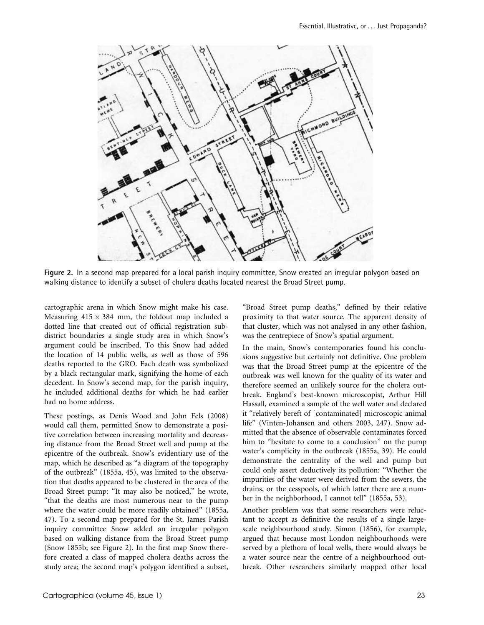

Figure 2. In a second map prepared for a local parish inquiry committee, Snow created an irregular polygon based on walking distance to identify a subset of cholera deaths located nearest the Broad Street pump.

cartographic arena in which Snow might make his case. Measuring  $415 \times 384$  mm, the foldout map included a dotted line that created out of official registration subdistrict boundaries a single study area in which Snow's argument could be inscribed. To this Snow had added the location of 14 public wells, as well as those of 596 deaths reported to the GRO. Each death was symbolized by a black rectangular mark, signifying the home of each decedent. In Snow's second map, for the parish inquiry, he included additional deaths for which he had earlier had no home address.

These postings, as Denis Wood and John Fels (2008) would call them, permitted Snow to demonstrate a positive correlation between increasing mortality and decreasing distance from the Broad Street well and pump at the epicentre of the outbreak. Snow's evidentiary use of the map, which he described as ''a diagram of the topography of the outbreak'' (1855a, 45), was limited to the observation that deaths appeared to be clustered in the area of the Broad Street pump: "It may also be noticed," he wrote, ''that the deaths are most numerous near to the pump where the water could be more readily obtained'' (1855a, 47). To a second map prepared for the St. James Parish inquiry committee Snow added an irregular polygon based on walking distance from the Broad Street pump (Snow 1855b; see Figure 2). In the first map Snow therefore created a class of mapped cholera deaths across the study area; the second map's polygon identified a subset, "Broad Street pump deaths," defined by their relative proximity to that water source. The apparent density of that cluster, which was not analysed in any other fashion, was the centrepiece of Snow's spatial argument.

In the main, Snow's contemporaries found his conclusions suggestive but certainly not definitive. One problem was that the Broad Street pump at the epicentre of the outbreak was well known for the quality of its water and therefore seemed an unlikely source for the cholera outbreak. England's best-known microscopist, Arthur Hill Hassall, examined a sample of the well water and declared it "relatively bereft of [contaminated] microscopic animal life'' (Vinten-Johansen and others 2003, 247). Snow admitted that the absence of observable contaminates forced him to "hesitate to come to a conclusion" on the pump water's complicity in the outbreak (1855a, 39). He could demonstrate the centrality of the well and pump but could only assert deductively its pollution: ''Whether the impurities of the water were derived from the sewers, the drains, or the cesspools, of which latter there are a number in the neighborhood, I cannot tell'' (1855a, 53).

Another problem was that some researchers were reluctant to accept as definitive the results of a single largescale neighbourhood study. Simon (1856), for example, argued that because most London neighbourhoods were served by a plethora of local wells, there would always be a water source near the centre of a neighbourhood outbreak. Other researchers similarly mapped other local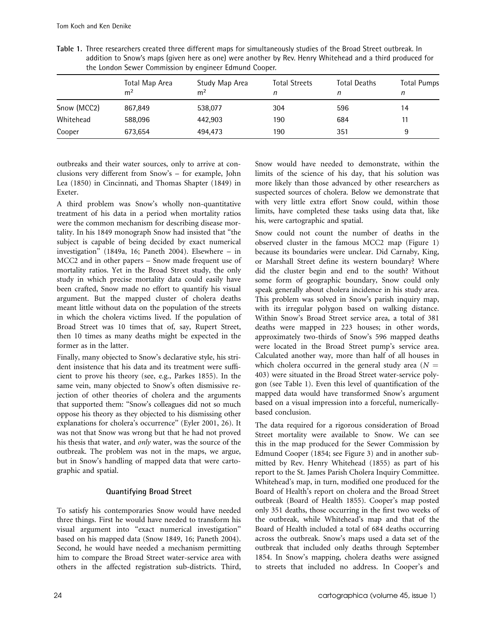| the London Sener Commission by enquired Lamana Coopen |                                  |                                  |                           |              |                         |  |  |  |  |
|-------------------------------------------------------|----------------------------------|----------------------------------|---------------------------|--------------|-------------------------|--|--|--|--|
|                                                       | Total Map Area<br>m <sup>2</sup> | Study Map Area<br>m <sup>2</sup> | <b>Total Streets</b><br>n | Total Deaths | <b>Total Pumps</b><br>n |  |  |  |  |
| Snow (MCC2)                                           | 867,849                          | 538,077                          | 304                       | 596          | 14                      |  |  |  |  |
| Whitehead                                             | 588,096                          | 442,903                          | 190                       | 684          | 11                      |  |  |  |  |
| Cooper                                                | 673,654                          | 494,473                          | 190                       | 351          | 9                       |  |  |  |  |

Table 1. Three researchers created three different maps for simultaneously studies of the Broad Street outbreak. In addition to Snow's maps (given here as one) were another by Rev. Henry Whitehead and a third produced for the London Sewer Commission by engineer Edmund Cooper.

outbreaks and their water sources, only to arrive at conclusions very different from Snow's – for example, John Lea (1850) in Cincinnati, and Thomas Shapter (1849) in Exeter.

A third problem was Snow's wholly non-quantitative treatment of his data in a period when mortality ratios were the common mechanism for describing disease mortality. In his 1849 monograph Snow had insisted that ''the subject is capable of being decided by exact numerical investigation'' (1849a, 16; Paneth 2004). Elsewhere – in MCC2 and in other papers – Snow made frequent use of mortality ratios. Yet in the Broad Street study, the only study in which precise mortality data could easily have been crafted, Snow made no effort to quantify his visual argument. But the mapped cluster of cholera deaths meant little without data on the population of the streets in which the cholera victims lived. If the population of Broad Street was 10 times that of, say, Rupert Street, then 10 times as many deaths might be expected in the former as in the latter.

Finally, many objected to Snow's declarative style, his strident insistence that his data and its treatment were sufficient to prove his theory (see, e.g., Parkes 1855). In the same vein, many objected to Snow's often dismissive rejection of other theories of cholera and the arguments that supported them: ''Snow's colleagues did not so much oppose his theory as they objected to his dismissing other explanations for cholera's occurrence'' (Eyler 2001, 26). It was not that Snow was wrong but that he had not proved his thesis that water, and only water, was the source of the outbreak. The problem was not in the maps, we argue, but in Snow's handling of mapped data that were cartographic and spatial.

# Quantifying Broad Street

To satisfy his contemporaries Snow would have needed three things. First he would have needed to transform his visual argument into ''exact numerical investigation'' based on his mapped data (Snow 1849, 16; Paneth 2004). Second, he would have needed a mechanism permitting him to compare the Broad Street water-service area with others in the affected registration sub-districts. Third, Snow would have needed to demonstrate, within the limits of the science of his day, that his solution was more likely than those advanced by other researchers as suspected sources of cholera. Below we demonstrate that with very little extra effort Snow could, within those limits, have completed these tasks using data that, like his, were cartographic and spatial.

Snow could not count the number of deaths in the observed cluster in the famous MCC2 map (Figure 1) because its boundaries were unclear. Did Carnaby, King, or Marshall Street define its western boundary? Where did the cluster begin and end to the south? Without some form of geographic boundary, Snow could only speak generally about cholera incidence in his study area. This problem was solved in Snow's parish inquiry map, with its irregular polygon based on walking distance. Within Snow's Broad Street service area, a total of 381 deaths were mapped in 223 houses; in other words, approximately two-thirds of Snow's 596 mapped deaths were located in the Broad Street pump's service area. Calculated another way, more than half of all houses in which cholera occurred in the general study area ( $N =$ 403) were situated in the Broad Street water-service polygon (see Table 1). Even this level of quantification of the mapped data would have transformed Snow's argument based on a visual impression into a forceful, numericallybased conclusion.

The data required for a rigorous consideration of Broad Street mortality were available to Snow. We can see this in the map produced for the Sewer Commission by Edmund Cooper (1854; see Figure 3) and in another submitted by Rev. Henry Whitehead (1855) as part of his report to the St. James Parish Cholera Inquiry Committee. Whitehead's map, in turn, modified one produced for the Board of Health's report on cholera and the Broad Street outbreak (Board of Health 1855). Cooper's map posted only 351 deaths, those occurring in the first two weeks of the outbreak, while Whitehead's map and that of the Board of Health included a total of 684 deaths occurring across the outbreak. Snow's maps used a data set of the outbreak that included only deaths through September 1854. In Snow's mapping, cholera deaths were assigned to streets that included no address. In Cooper's and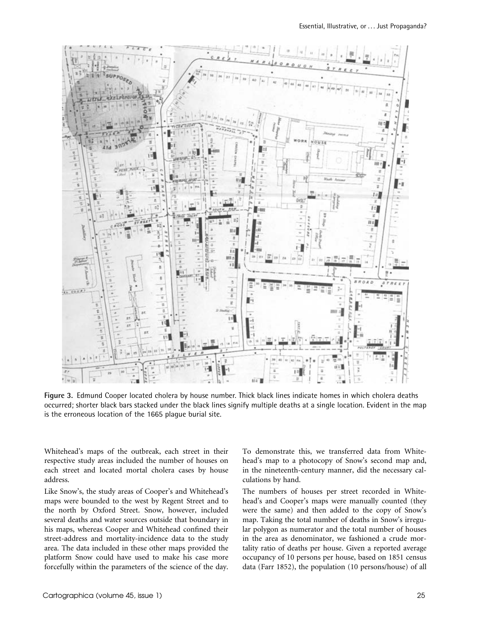

Figure 3. Edmund Cooper located cholera by house number. Thick black lines indicate homes in which cholera deaths occurred; shorter black bars stacked under the black lines signify multiple deaths at a single location. Evident in the map is the erroneous location of the 1665 plague burial site.

Whitehead's maps of the outbreak, each street in their respective study areas included the number of houses on each street and located mortal cholera cases by house address.

Like Snow's, the study areas of Cooper's and Whitehead's maps were bounded to the west by Regent Street and to the north by Oxford Street. Snow, however, included several deaths and water sources outside that boundary in his maps, whereas Cooper and Whitehead confined their street-address and mortality-incidence data to the study area. The data included in these other maps provided the platform Snow could have used to make his case more forcefully within the parameters of the science of the day. To demonstrate this, we transferred data from Whitehead's map to a photocopy of Snow's second map and, in the nineteenth-century manner, did the necessary calculations by hand.

The numbers of houses per street recorded in Whitehead's and Cooper's maps were manually counted (they were the same) and then added to the copy of Snow's map. Taking the total number of deaths in Snow's irregular polygon as numerator and the total number of houses in the area as denominator, we fashioned a crude mortality ratio of deaths per house. Given a reported average occupancy of 10 persons per house, based on 1851 census data (Farr 1852), the population (10 persons/house) of all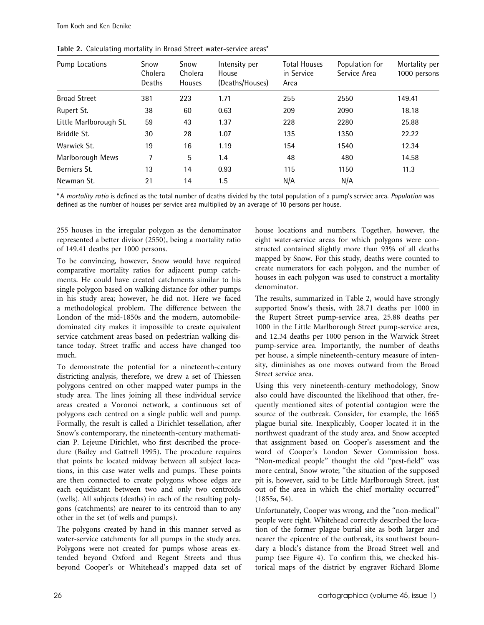| Pump Locations         | Snow<br>Cholera<br>Deaths | Snow<br>Cholera<br><b>Houses</b> | Intensity per<br>House<br>(Deaths/Houses) | <b>Total Houses</b><br>in Service<br>Area | Population for<br>Service Area | Mortality per<br>1000 persons |
|------------------------|---------------------------|----------------------------------|-------------------------------------------|-------------------------------------------|--------------------------------|-------------------------------|
| <b>Broad Street</b>    | 381                       | 223                              | 1.71                                      | 255                                       | 2550                           | 149.41                        |
| Rupert St.             | 38                        | 60                               | 0.63                                      | 209                                       | 2090                           | 18.18                         |
| Little Marlborough St. | 59                        | 43                               | 1.37                                      | 228                                       | 2280                           | 25.88                         |
| Briddle St.            | 30                        | 28                               | 1.07                                      | 135                                       | 1350                           | 22.22                         |
| Warwick St.            | 19                        | 16                               | 1.19                                      | 154                                       | 1540                           | 12.34                         |
| Marlborough Mews       | 7                         | 5                                | 1.4                                       | 48                                        | 480                            | 14.58                         |
| Berniers St.           | 13                        | 14                               | 0.93                                      | 115                                       | 1150                           | 11.3                          |
| Newman St.             | 21                        | 14                               | 1.5                                       | N/A                                       | N/A                            |                               |

Table 2. Calculating mortality in Broad Street water-service areas\*

\* A mortality ratio is defined as the total number of deaths divided by the total population of a pump's service area. Population was defined as the number of houses per service area multiplied by an average of 10 persons per house.

255 houses in the irregular polygon as the denominator represented a better divisor (2550), being a mortality ratio of 149.41 deaths per 1000 persons.

To be convincing, however, Snow would have required comparative mortality ratios for adjacent pump catchments. He could have created catchments similar to his single polygon based on walking distance for other pumps in his study area; however, he did not. Here we faced a methodological problem. The difference between the London of the mid-1850s and the modern, automobiledominated city makes it impossible to create equivalent service catchment areas based on pedestrian walking distance today. Street traffic and access have changed too much.

To demonstrate the potential for a nineteenth-century districting analysis, therefore, we drew a set of Thiessen polygons centred on other mapped water pumps in the study area. The lines joining all these individual service areas created a Voronoi network, a continuous set of polygons each centred on a single public well and pump. Formally, the result is called a Dirichlet tessellation, after Snow's contemporary, the nineteenth-century mathematician P. Lejeune Dirichlet, who first described the procedure (Bailey and Gattrell 1995). The procedure requires that points be located midway between all subject locations, in this case water wells and pumps. These points are then connected to create polygons whose edges are each equidistant between two and only two centroids (wells). All subjects (deaths) in each of the resulting polygons (catchments) are nearer to its centroid than to any other in the set (of wells and pumps).

The polygons created by hand in this manner served as water-service catchments for all pumps in the study area. Polygons were not created for pumps whose areas extended beyond Oxford and Regent Streets and thus beyond Cooper's or Whitehead's mapped data set of house locations and numbers. Together, however, the eight water-service areas for which polygons were constructed contained slightly more than 93% of all deaths mapped by Snow. For this study, deaths were counted to create numerators for each polygon, and the number of houses in each polygon was used to construct a mortality denominator.

The results, summarized in Table 2, would have strongly supported Snow's thesis, with 28.71 deaths per 1000 in the Rupert Street pump-service area, 25.88 deaths per 1000 in the Little Marlborough Street pump-service area, and 12.34 deaths per 1000 person in the Warwick Street pump-service area. Importantly, the number of deaths per house, a simple nineteenth-century measure of intensity, diminishes as one moves outward from the Broad Street service area.

Using this very nineteenth-century methodology, Snow also could have discounted the likelihood that other, frequently mentioned sites of potential contagion were the source of the outbreak. Consider, for example, the 1665 plague burial site. Inexplicably, Cooper located it in the northwest quadrant of the study area, and Snow accepted that assignment based on Cooper's assessment and the word of Cooper's London Sewer Commission boss. ''Non-medical people'' thought the old ''pest-field'' was more central, Snow wrote; ''the situation of the supposed pit is, however, said to be Little Marlborough Street, just out of the area in which the chief mortality occurred'' (1855a, 54).

Unfortunately, Cooper was wrong, and the ''non-medical'' people were right. Whitehead correctly described the location of the former plague burial site as both larger and nearer the epicentre of the outbreak, its southwest boundary a block's distance from the Broad Street well and pump (see Figure 4). To confirm this, we checked historical maps of the district by engraver Richard Blome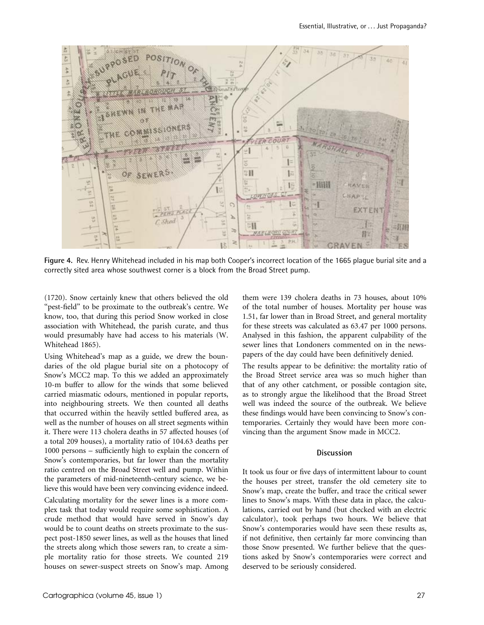

Figure 4. Rev. Henry Whitehead included in his map both Cooper's incorrect location of the 1665 plague burial site and a correctly sited area whose southwest corner is a block from the Broad Street pump.

(1720). Snow certainly knew that others believed the old "pest-field" to be proximate to the outbreak's centre. We know, too, that during this period Snow worked in close association with Whitehead, the parish curate, and thus would presumably have had access to his materials (W. Whitehead 1865).

Using Whitehead's map as a guide, we drew the boundaries of the old plague burial site on a photocopy of Snow's MCC2 map. To this we added an approximately 10-m buffer to allow for the winds that some believed carried miasmatic odours, mentioned in popular reports, into neighbouring streets. We then counted all deaths that occurred within the heavily settled buffered area, as well as the number of houses on all street segments within it. There were 113 cholera deaths in 57 affected houses (of a total 209 houses), a mortality ratio of 104.63 deaths per 1000 persons – sufficiently high to explain the concern of Snow's contemporaries, but far lower than the mortality ratio centred on the Broad Street well and pump. Within the parameters of mid-nineteenth-century science, we believe this would have been very convincing evidence indeed.

Calculating mortality for the sewer lines is a more complex task that today would require some sophistication. A crude method that would have served in Snow's day would be to count deaths on streets proximate to the suspect post-1850 sewer lines, as well as the houses that lined the streets along which those sewers ran, to create a simple mortality ratio for those streets. We counted 219 houses on sewer-suspect streets on Snow's map. Among them were 139 cholera deaths in 73 houses, about 10% of the total number of houses. Mortality per house was 1.51, far lower than in Broad Street, and general mortality for these streets was calculated as 63.47 per 1000 persons. Analysed in this fashion, the apparent culpability of the sewer lines that Londoners commented on in the newspapers of the day could have been definitively denied.

The results appear to be definitive: the mortality ratio of the Broad Street service area was so much higher than that of any other catchment, or possible contagion site, as to strongly argue the likelihood that the Broad Street well was indeed the source of the outbreak. We believe these findings would have been convincing to Snow's contemporaries. Certainly they would have been more convincing than the argument Snow made in MCC2.

#### Discussion

It took us four or five days of intermittent labour to count the houses per street, transfer the old cemetery site to Snow's map, create the buffer, and trace the critical sewer lines to Snow's maps. With these data in place, the calculations, carried out by hand (but checked with an electric calculator), took perhaps two hours. We believe that Snow's contemporaries would have seen these results as, if not definitive, then certainly far more convincing than those Snow presented. We further believe that the questions asked by Snow's contemporaries were correct and deserved to be seriously considered.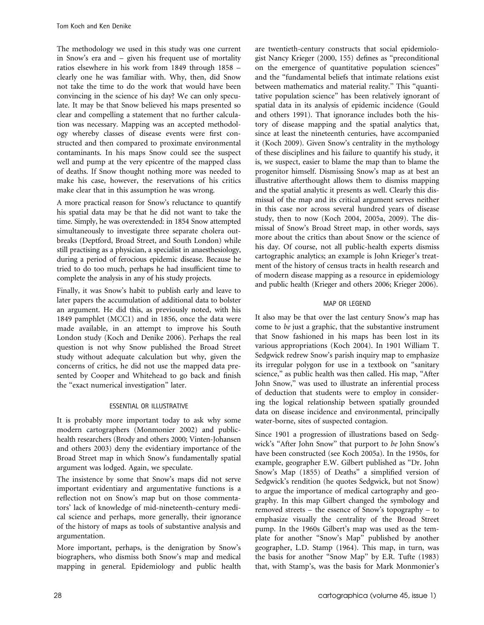The methodology we used in this study was one current in Snow's era and – given his frequent use of mortality ratios elsewhere in his work from 1849 through 1858 – clearly one he was familiar with. Why, then, did Snow not take the time to do the work that would have been convincing in the science of his day? We can only speculate. It may be that Snow believed his maps presented so clear and compelling a statement that no further calculation was necessary. Mapping was an accepted methodology whereby classes of disease events were first constructed and then compared to proximate environmental contaminants. In his maps Snow could see the suspect well and pump at the very epicentre of the mapped class of deaths. If Snow thought nothing more was needed to make his case, however, the reservations of his critics make clear that in this assumption he was wrong.

A more practical reason for Snow's reluctance to quantify his spatial data may be that he did not want to take the time. Simply, he was overextended: in 1854 Snow attempted simultaneously to investigate three separate cholera outbreaks (Deptford, Broad Street, and South London) while still practising as a physician, a specialist in anaesthesiology, during a period of ferocious epidemic disease. Because he tried to do too much, perhaps he had insufficient time to complete the analysis in any of his study projects.

Finally, it was Snow's habit to publish early and leave to later papers the accumulation of additional data to bolster an argument. He did this, as previously noted, with his 1849 pamphlet (MCC1) and in 1856, once the data were made available, in an attempt to improve his South London study (Koch and Denike 2006). Perhaps the real question is not why Snow published the Broad Street study without adequate calculation but why, given the concerns of critics, he did not use the mapped data presented by Cooper and Whitehead to go back and finish the ''exact numerical investigation'' later.

# essential or illustrative

It is probably more important today to ask why some modern cartographers (Monmonier 2002) and publichealth researchers (Brody and others 2000; Vinten-Johansen and others 2003) deny the evidentiary importance of the Broad Street map in which Snow's fundamentally spatial argument was lodged. Again, we speculate.

The insistence by some that Snow's maps did not serve important evidentiary and argumentative functions is a reflection not on Snow's map but on those commentators' lack of knowledge of mid-nineteenth-century medical science and perhaps, more generally, their ignorance of the history of maps as tools of substantive analysis and argumentation.

More important, perhaps, is the denigration by Snow's biographers, who dismiss both Snow's map and medical mapping in general. Epidemiology and public health are twentieth-century constructs that social epidemiologist Nancy Krieger (2000, 155) defines as ''preconditional on the emergence of quantitative population sciences'' and the ''fundamental beliefs that intimate relations exist between mathematics and material reality.'' This ''quantitative population science'' has been relatively ignorant of spatial data in its analysis of epidemic incidence (Gould and others 1991). That ignorance includes both the history of disease mapping and the spatial analytics that, since at least the nineteenth centuries, have accompanied it (Koch 2009). Given Snow's centrality in the mythology of these disciplines and his failure to quantify his study, it is, we suspect, easier to blame the map than to blame the progenitor himself. Dismissing Snow's map as at best an illustrative afterthought allows them to dismiss mapping and the spatial analytic it presents as well. Clearly this dismissal of the map and its critical argument serves neither in this case nor across several hundred years of disease study, then to now (Koch 2004, 2005a, 2009). The dismissal of Snow's Broad Street map, in other words, says more about the critics than about Snow or the science of his day. Of course, not all public-health experts dismiss cartographic analytics; an example is John Krieger's treatment of the history of census tracts in health research and of modern disease mapping as a resource in epidemiology and public health (Krieger and others 2006; Krieger 2006).

# map or legend

It also may be that over the last century Snow's map has come to be just a graphic, that the substantive instrument that Snow fashioned in his maps has been lost in its various appropriations (Koch 2004). In 1901 William T. Sedgwick redrew Snow's parish inquiry map to emphasize its irregular polygon for use in a textbook on ''sanitary science," as public health was then called. His map, "After John Snow,'' was used to illustrate an inferential process of deduction that students were to employ in considering the logical relationship between spatially grounded data on disease incidence and environmental, principally water-borne, sites of suspected contagion.

Since 1901 a progression of illustrations based on Sedgwick's "After John Snow" that purport to be John Snow's have been constructed (see Koch 2005a). In the 1950s, for example, geographer E.W. Gilbert published as ''Dr. John Snow's Map (1855) of Deaths'' a simplified version of Sedgwick's rendition (he quotes Sedgwick, but not Snow) to argue the importance of medical cartography and geography. In this map Gilbert changed the symbology and removed streets – the essence of Snow's topography – to emphasize visually the centrality of the Broad Street pump. In the 1960s Gilbert's map was used as the template for another "Snow's Map" published by another geographer, L.D. Stamp (1964). This map, in turn, was the basis for another ''Snow Map'' by E.R. Tufte (1983) that, with Stamp's, was the basis for Mark Monmonier's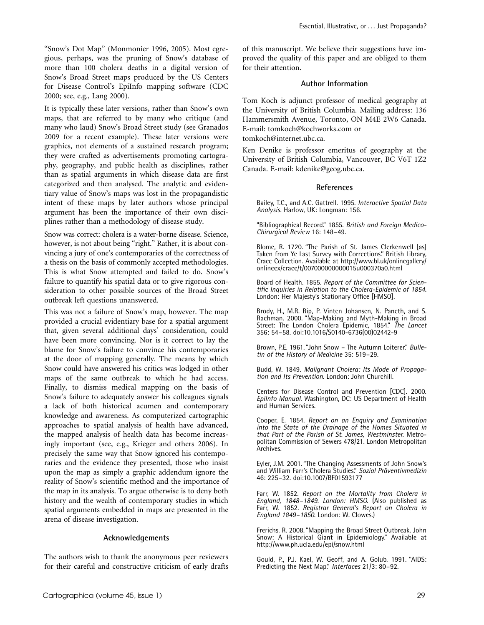"Snow's Dot Map" (Monmonier 1996, 2005). Most egregious, perhaps, was the pruning of Snow's database of more than 100 cholera deaths in a digital version of Snow's Broad Street maps produced by the US Centers for Disease Control's EpiInfo mapping software (CDC 2000; see, e.g., Lang 2000).

It is typically these later versions, rather than Snow's own maps, that are referred to by many who critique (and many who laud) Snow's Broad Street study (see Granados 2009 for a recent example). These later versions were graphics, not elements of a sustained research program; they were crafted as advertisements promoting cartography, geography, and public health as disciplines, rather than as spatial arguments in which disease data are first categorized and then analysed. The analytic and evidentiary value of Snow's maps was lost in the propagandistic intent of these maps by later authors whose principal argument has been the importance of their own disciplines rather than a methodology of disease study.

Snow was correct: cholera is a water-borne disease. Science, however, is not about being "right." Rather, it is about convincing a jury of one's contemporaries of the correctness of a thesis on the basis of commonly accepted methodologies. This is what Snow attempted and failed to do. Snow's failure to quantify his spatial data or to give rigorous consideration to other possible sources of the Broad Street outbreak left questions unanswered.

This was not a failure of Snow's map, however. The map provided a crucial evidentiary base for a spatial argument that, given several additional days' consideration, could have been more convincing. Nor is it correct to lay the blame for Snow's failure to convince his contemporaries at the door of mapping generally. The means by which Snow could have answered his critics was lodged in other maps of the same outbreak to which he had access. Finally, to dismiss medical mapping on the basis of Snow's failure to adequately answer his colleagues signals a lack of both historical acumen and contemporary knowledge and awareness. As computerized cartographic approaches to spatial analysis of health have advanced, the mapped analysis of health data has become increasingly important (see, e.g., Krieger and others 2006). In precisely the same way that Snow ignored his contemporaries and the evidence they presented, those who insist upon the map as simply a graphic addendum ignore the reality of Snow's scientific method and the importance of the map in its analysis. To argue otherwise is to deny both history and the wealth of contemporary studies in which spatial arguments embedded in maps are presented in the arena of disease investigation.

#### Acknowledgements

The authors wish to thank the anonymous peer reviewers for their careful and constructive criticism of early drafts

of this manuscript. We believe their suggestions have improved the quality of this paper and are obliged to them for their attention.

#### Author Information

Tom Koch is adjunct professor of medical geography at the University of British Columbia. Mailing address: 136 Hammersmith Avenue, Toronto, ON M4E 2W6 Canada. E-mail: tomkoch@kochworks.com or tomkoch@internet.ubc.ca.

Ken Denike is professor emeritus of geography at the University of British Columbia, Vancouver, BC V6T 1Z2 Canada. E-mail: kdenike@geog.ubc.ca.

#### References

Bailey, T.C., and A.C. Gattrell. 1995. Interactive Spatial Data Analysis. Harlow, UK: Longman: 156.

''Bibliographical Record.'' 1855. British and Foreign Medico-Chirurgical Review 16: 148–49.

Blome, R. 1720. ''The Parish of St. James Clerkenwell [as] Taken from Ye Last Survey with Corrections.'' British Library, Crace Collection. Available at http://www.bl.uk/onlinegallery/ onlineex/crace/t/007000000000015u000370a0.html

Board of Health. 1855. Report of the Committee for Scientific Inquiries in Relation to the Cholera-Epidemic of 1854. London: Her Majesty's Stationary Office [HMSO].

Brody, H., M.R. Rip, P. Vinten Johansen, N. Paneth, and S. Rachman. 2000. ''Map-Making and Myth-Making in Broad Street: The London Cholera Epidemic, 1854." The Lancet 356: 54–58. doi:10.1016/S0140-6736(00)02442-9

Brown, P.E. 1961. "John Snow - The Autumn Loiterer." Bulletin of the History of Medicine 35: 519–29.

Budd, W. 1849. Malignant Cholera: Its Mode of Propagation and Its Prevention. London: John Churchill.

Centers for Disease Control and Prevention [CDC]. 2000. EpiInfo Manual. Washington, DC: US Department of Health and Human Services.

Cooper, E. 1854. Report on an Enquiry and Examination into the State of the Drainage of the Homes Situated in that Part of the Parish of St. James, Westminster. Metropolitan Commission of Sewers 478/21. London Metropolitan Archives.

Eyler, J.M. 2001. ''The Changing Assessments of John Snow's and William Farr's Cholera Studies." Sozial Präventivmedizin 46: 225–32. doi:10.1007/BF01593177

Farr, W. 1852. Report on the Mortality from Cholera in England, 1848–1849. London: HMSO. (Also published as Farr, W. 1852. Registrar General's Report on Cholera in England 1849–1850. London: W. Clowes.)

Frerichs, R. 2008. ''Mapping the Broad Street Outbreak. John Snow: A Historical Giant in Epidemiology.'' Available at http://www.ph.ucla.edu/epi/snow.html

Gould, P., P.J. Kael, W. Geoff, and A. Golub. 1991. ''AIDS: Predicting the Next Map." Interfaces 21/3: 80-92.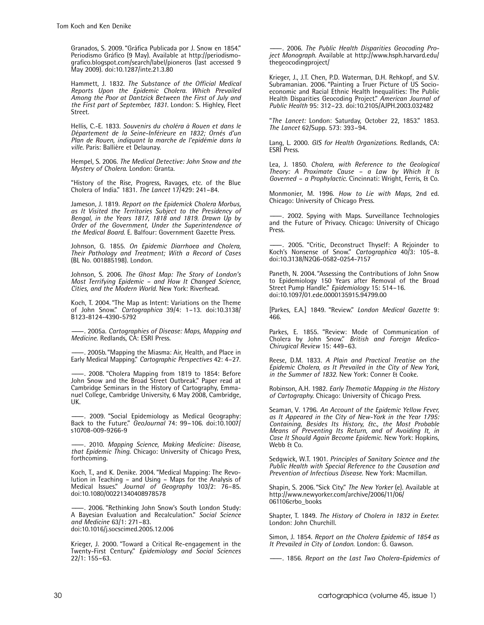Granados, S. 2009. "Gráfica Publicada por J. Snow en 1854." Periodismo Gráfico (9 May). Available at http://periodismografico.blogspot.com/search/label/pioneros (last accessed 9 May 2009). doi:10.1287/inte.21.3.80

Hammett, J. 1832. The Substance of the Official Medical Reports Upon the Epidemic Cholera. Which Prevailed Among the Poor at Dantzick Between the First of July and the First part of September, 1831. London: S. Highley, Fleet Street.

Hellis, C.-E. 1833. Souvenirs du choléra à Rouen et dans le Département de la Seine-Inférieure en 1832; Ornés d'un Plan de Rouen, indiquant la marche de l'epidémie dans la ville. Paris: Ballière et Delaunay.

Hempel, S. 2006. The Medical Detective: John Snow and the Mystery of Cholera. London: Granta.

''History of the Rise, Progress, Ravages, etc. of the Blue Cholera of India.'' 1831. The Lancet 17/429: 241–84.

Jameson, J. 1819. Report on the Epidemick Cholera Morbus, as It Visited the Territories Subject to the Presidency of Bengal, in the Years 1817, 1818 and 1819. Drawn Up by Order of the Government, Under the Superintendence of the Medical Board. E. Balfour: Government Gazette Press.

Johnson, G. 1855. On Epidemic Diarrhoea and Cholera, Their Pathology and Treatment; With a Record of Cases (BL No. 001885198). London.

Johnson, S. 2006. The Ghost Map: The Story of London's Most Terrifying Epidemic – and How It Changed Science, Cities, and the Modern World. New York: Riverhead.

Koch, T. 2004. ''The Map as Intent: Variations on the Theme of John Snow.'' Cartographica 39/4: 1–13. doi:10.3138/ B123-8124-4390-5792

-. 2005a. Cartographies of Disease: Maps, Mapping and Medicine. Redlands, CA: ESRI Press.

———. 2005b. ''Mapping the Miasma: Air, Health, and Place in Early Medical Mapping.'' Cartographic Perspectives 42: 4–27.

-. 2008. "Cholera Mapping from 1819 to 1854: Before John Snow and the Broad Street Outbreak.'' Paper read at Cambridge Seminars in the History of Cartography, Emmanuel College, Cambridge University, 6 May 2008, Cambridge, UK.

. 2009. "Social Epidemiology as Medical Geography: Back to the Future."  $Geolourn\overline{a}$  74: 99-106. doi:10.1007/ s10708-009-9266-9

———. 2010. Mapping Science, Making Medicine: Disease, that Epidemic Thing. Chicago: University of Chicago Press, forthcoming.

Koch, T., and K. Denike. 2004. ''Medical Mapping: The Revolution in Teaching – and Using – Maps for the Analysis of Medical Issues.'' Journal of Geography 103/2: 76–85. doi:10.1080/00221340408978578

. 2006. "Rethinking John Snow's South London Study: A Bayesian Evaluation and Recalculation." Social Science and Medicine 63/1: 271–83. doi:10.1016/j.socscimed.2005.12.006

Krieger, J. 2000. ''Toward a Critical Re-engagement in the Twenty-First Century.'' Epidemiology and Social Sciences 22/1: 155–63.

-. 2006. The Public Health Disparities Geocoding Project Monograph. Available at http://www.hsph.harvard.edu/ thegeocodingproject/

Krieger, J., J.T. Chen, P.D. Waterman, D.H. Rehkopf, and S.V. Subramanian. 2006. ''Painting a Truer Picture of US Socioeconomic and Racial Ethnic Health Inequalities: The Public Health Disparities Geocoding Project.'' American Journal of Public Health 95: 312–23. doi:10.2105/AJPH.2003.032482

"The Lancet: London: Saturday, October 22, 1853." 1853. The Lancet 62/Supp. 573: 393–94.

Lang, L. 2000. GIS for Health Organizations. Redlands, CA: ESRI Press.

Lea, J. 1850. Cholera, with Reference to the Geological Theory: A Proximate Cause – a Law by Which It Is Governed – a Prophylactic. Cincinnati: Wright, Ferris, & Co.

Monmonier, M. 1996. How to Lie with Maps, 2nd ed. Chicago: University of Chicago Press.

 $-$ . 2002. Spying with Maps. Surveillance Technologies and the Future of Privacy. Chicago: University of Chicago **Press** 

———. 2005. ''Critic, Deconstruct Thyself: A Rejoinder to Koch's Nonsense of Snow." Cartographica 40/3: 105-8. doi:10.3138/N2Q6-0582-0254-7157

Paneth, N. 2004. ''Assessing the Contributions of John Snow to Epidemiology 150 Years after Removal of the Broad Street Pump Handle." Epidemiology 15: 514-16. doi:10.1097/01.ede.0000135915.94799.00

[Parkes, E.A.] 1849. ''Review.'' London Medical Gazette 9: 466.

Parkes, E. 1855. ''Review: Mode of Communication of Cholera by John Snow.'' British and Foreign Medico-Chirugical Review 15: 449–63.

Reese, D.M. 1833. A Plain and Practical Treatise on the Epidemic Cholera, as It Prevailed in the City of New York, in the Summer of 1832. New York: Conner & Cooke.

Robinson, A.H. 1982. Early Thematic Mapping in the History of Cartography. Chicago: University of Chicago Press.

Seaman, V. 1796. An Account of the Epidemic Yellow Fever, as It Appeared in the City of New-York in the Year 1795: Containing, Besides Its History, &c., the Most Probable Means of Preventing Its Return, and of Avoiding It, in Case It Should Again Become Epidemic. New York: Hopkins, Webb & Co.

Sedgwick, W.T. 1901. Principles of Sanitary Science and the Public Health with Special Reference to the Causation and Prevention of Infectious Disease. New York: Macmillan.

Shapin, S. 2006. "Sick City." The New Yorker (e). Available at http://www.newyorker.com/archive/2006/11/06/ 061106crbo\_books

Shapter, T. 1849. The History of Cholera in 1832 in Exeter.<br>London: John Churchill.

Simon, J. 1854. Report on the Cholera Epidemic of 1854 as It Prevailed in City of London. London: G. Gawson.

———. 1856. Report on the Last Two Cholera-Epidemics of